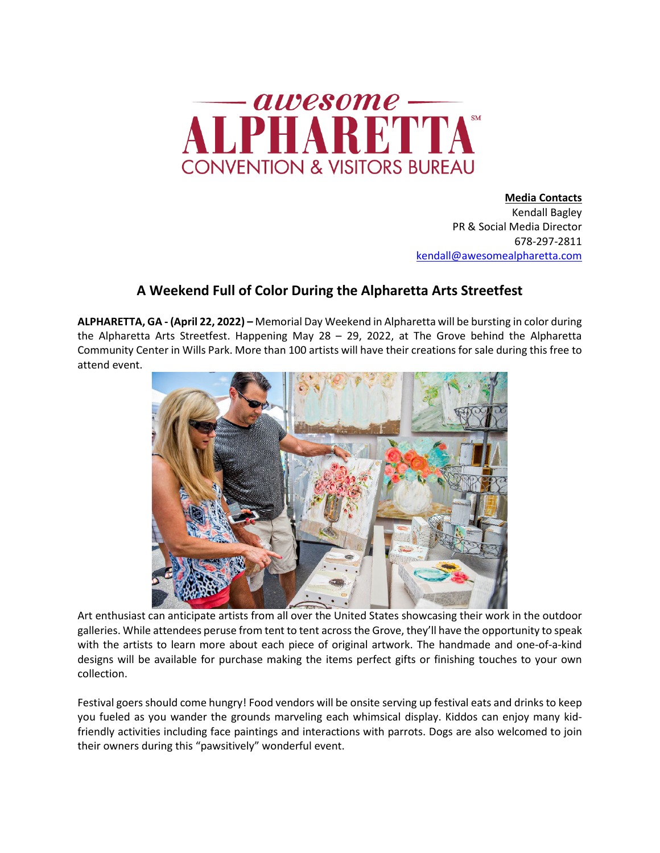

**Media Contacts**  Kendall Bagley PR & Social Media Director 678-297-2811 kendall@awesomealpharetta.com

## **A Weekend Full of Color During the Alpharetta Arts Streetfest**

**ALPHARETTA, GA - (April 22, 2022) –** Memorial Day Weekend in Alpharetta will be bursting in color during the Alpharetta Arts Streetfest. Happening May 28 – 29, 2022, at The Grove behind the Alpharetta Community Center in Wills Park. More than 100 artists will have their creations for sale during this free to attend event.



Art enthusiast can anticipate artists from all over the United States showcasing their work in the outdoor galleries. While attendees peruse from tent to tent across the Grove, they'll have the opportunity to speak with the artists to learn more about each piece of original artwork. The handmade and one-of-a-kind designs will be available for purchase making the items perfect gifts or finishing touches to your own collection.

Festival goers should come hungry! Food vendors will be onsite serving up festival eats and drinks to keep you fueled as you wander the grounds marveling each whimsical display. Kiddos can enjoy many kidfriendly activities including face paintings and interactions with parrots. Dogs are also welcomed to join their owners during this "pawsitively" wonderful event.